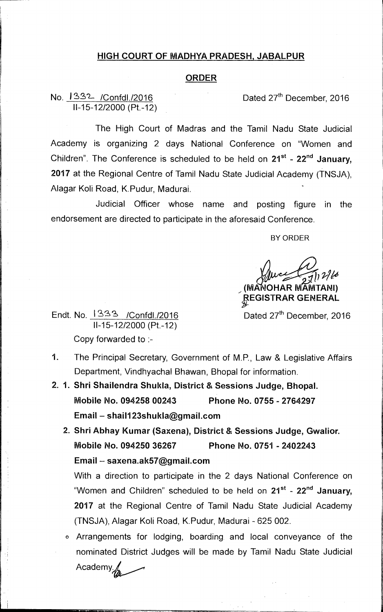## **HIGH COURT OF MADHYA PRADESH, JABALPUR**

## **ORDER**

No. 1332 / Confdl./2016 Dated 27<sup>th</sup> December, 2016 11-15-12/2000 (Pt.-12)

The High Court of Madras and the Tamil Nadu State Judicial Academy is organizing 2 days National Conference on "Women and Children". The Conference is scheduled to be held on 21<sup>st</sup> - 22<sup>nd</sup> January, **2017** at the Regional Centre of Tamil Nadu State Judicial Academy (TNSJA), Alagar Koli Road, K.Pudur, Madurai.

Judicial Officer whose name and posting figure in the endorsement are directed to participate in the aforesaid Conference.

BY ORDER

c*4* 27/17/6 **(MA OHAR MAMTANI)** 

*gEGISTRAR* **GENERAL** 

Dated 27<sup>th</sup> December, 2016

Endt. No.  $1333$  /Confdl./2016 11-15-12/2000 (Pt.-12) Copy forwarded to :-

1. The Principal Secretary, Government of M.P., Law & Legislative Affairs Department, Vindhyachal Bhawan, Bhopal for information.

- **2. 1. Shri Shailendra Shukla, District & Sessions Judge, Bhopal. Mobile No. 094258 00243 Phone No. 0755 - 2764297 Email — shail123shukla@gmail.com** 
	- **2. Shri Abhay Kumar (Saxena), District & Sessions Judge, Gwalior. Mobile No. 094250 36267 Phone No. 0751 - 2402243 Email — saxena.ak57@gmail.com**

With a direction to participate in the 2 days National Conference on "Women and Children" scheduled to be held on 21<sup>st</sup> - 22<sup>nd</sup> January, **2017** at the Regional Centre of Tamil Nadu State Judicial Academy (TNSJA), Alagar Koli Road, K.Pudur, Madurai - 625 002.

0 Arrangements for lodging, boarding and local conveyance of the • nominated District Judges will be made by Tamil Nadu State Judicial Academyi